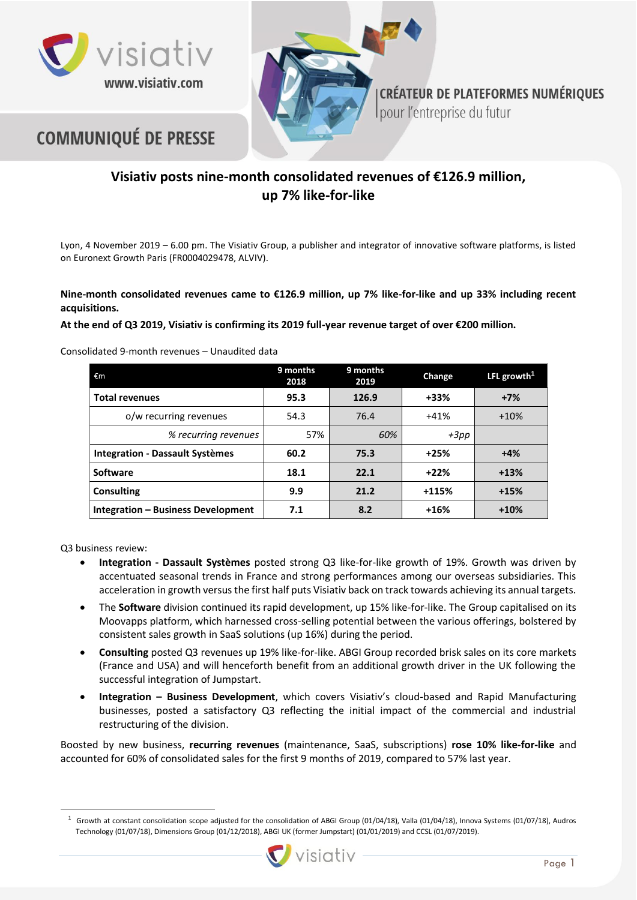





**CRÉATEUR DE PLATEFORMES NUMÉRIQUES** pour l'entreprise du futur

# **Visiativ posts nine-month consolidated revenues of €126.9 million, up 7% like-for-like**

Lyon, 4 November 2019 – 6.00 pm. The Visiativ Group, a publisher and integrator of innovative software platforms, is listed on Euronext Growth Paris (FR0004029478, ALVIV).

**Nine-month consolidated revenues came to €126.9 million, up 7% like-for-like and up 33% including recent acquisitions.**

**At the end of Q3 2019, Visiativ is confirming its 2019 full-year revenue target of over €200 million.**

Consolidated 9-month revenues – Unaudited data

| €m                                     | 9 months<br>2018 | 9 months<br>2019 | Change  | LFL growth <sup>1</sup> |
|----------------------------------------|------------------|------------------|---------|-------------------------|
| <b>Total revenues</b>                  | 95.3             | 126.9            | +33%    | $+7%$                   |
| o/w recurring revenues                 | 54.3             | 76.4             | $+41%$  | $+10%$                  |
| % recurring revenues                   | 57%              | 60%              | $+3pp$  |                         |
| <b>Integration - Dassault Systèmes</b> | 60.2             | 75.3             | $+25%$  | $+4%$                   |
| <b>Software</b>                        | 18.1             | 22.1             | $+22%$  | $+13%$                  |
| <b>Consulting</b>                      | 9.9              | 21.2             | $+115%$ | $+15%$                  |
| Integration - Business Development     | 7.1              | 8.2              | $+16%$  | $+10%$                  |

Q3 business review:

- **Integration - Dassault Systèmes** posted strong Q3 like-for-like growth of 19%. Growth was driven by accentuated seasonal trends in France and strong performances among our overseas subsidiaries. This acceleration in growth versus the first half puts Visiativ back on track towards achieving its annual targets.
- The **Software** division continued its rapid development, up 15% like-for-like. The Group capitalised on its Moovapps platform, which harnessed cross-selling potential between the various offerings, bolstered by consistent sales growth in SaaS solutions (up 16%) during the period.
- **Consulting** posted Q3 revenues up 19% like-for-like. ABGI Group recorded brisk sales on its core markets (France and USA) and will henceforth benefit from an additional growth driver in the UK following the successful integration of Jumpstart.
- **Integration – Business Development**, which covers Visiativ's cloud-based and Rapid Manufacturing businesses, posted a satisfactory Q3 reflecting the initial impact of the commercial and industrial restructuring of the division.

Boosted by new business, **recurring revenues** (maintenance, SaaS, subscriptions) **rose 10% like-for-like** and accounted for 60% of consolidated sales for the first 9 months of 2019, compared to 57% last year.

 $1$  Growth at constant consolidation scope adjusted for the consolidation of ABGI Group (01/04/18), Valla (01/04/18), Innova Systems (01/07/18), Audros Technology (01/07/18), Dimensions Group (01/12/2018), ABGI UK (former Jumpstart) (01/01/2019) and CCSL (01/07/2019).